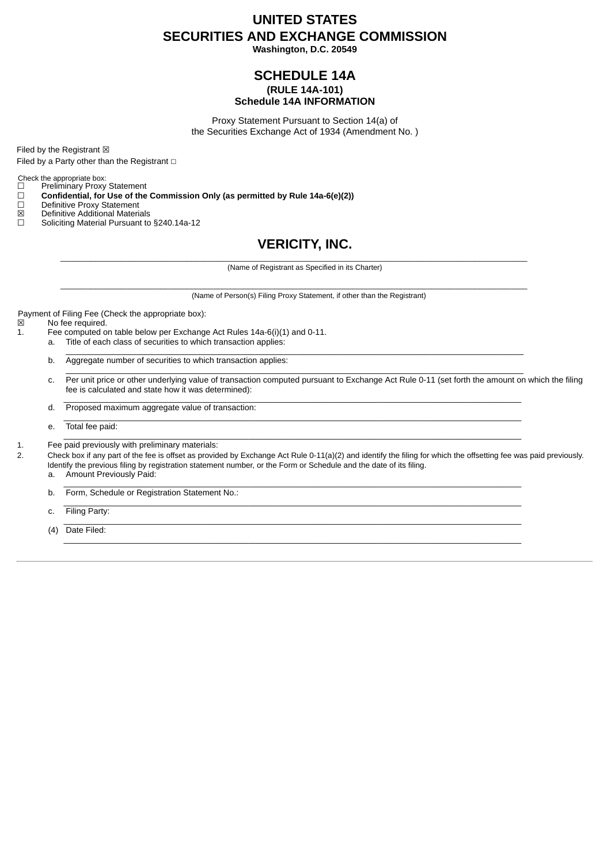# **UNITED STATES SECURITIES AND EXCHANGE COMMISSION**

**Washington, D.C. 20549**

### **SCHEDULE 14A (RULE 14A-101) Schedule 14A INFORMATION**

Proxy Statement Pursuant to Section 14(a) of the Securities Exchange Act of 1934 (Amendment No. )

Filed by the Registrant  $\boxtimes$ 

Filed by a Party other than the Registrant  $□$ 

Check the appropriate box:<br>  $\Box$  Preliminary Proxy

□ Preliminary Proxy Statement<br>□ **Confidential, for Use of the** 

☐ **Confidential, for Use of the Commission Only (as permitted by Rule 14a-6(e)(2))**

☐ Definitive Proxy Statement

 $\boxtimes$  Definitive Additional Materials

Soliciting Material Pursuant to §240.14a-12

## **VERICITY, INC.**

(Name of Registrant as Specified in its Charter)

 $\mathcal{L}_\mathcal{L} = \mathcal{L}_\mathcal{L} = \mathcal{L}_\mathcal{L} = \mathcal{L}_\mathcal{L} = \mathcal{L}_\mathcal{L} = \mathcal{L}_\mathcal{L} = \mathcal{L}_\mathcal{L} = \mathcal{L}_\mathcal{L} = \mathcal{L}_\mathcal{L} = \mathcal{L}_\mathcal{L} = \mathcal{L}_\mathcal{L} = \mathcal{L}_\mathcal{L} = \mathcal{L}_\mathcal{L} = \mathcal{L}_\mathcal{L} = \mathcal{L}_\mathcal{L} = \mathcal{L}_\mathcal{L} = \mathcal{L}_\mathcal{L}$ 

 $\mathcal{L}_\mathcal{L} = \mathcal{L}_\mathcal{L} = \mathcal{L}_\mathcal{L} = \mathcal{L}_\mathcal{L} = \mathcal{L}_\mathcal{L} = \mathcal{L}_\mathcal{L} = \mathcal{L}_\mathcal{L} = \mathcal{L}_\mathcal{L} = \mathcal{L}_\mathcal{L} = \mathcal{L}_\mathcal{L} = \mathcal{L}_\mathcal{L} = \mathcal{L}_\mathcal{L} = \mathcal{L}_\mathcal{L} = \mathcal{L}_\mathcal{L} = \mathcal{L}_\mathcal{L} = \mathcal{L}_\mathcal{L} = \mathcal{L}_\mathcal{L}$ 

 $\_$  , and the state of the state of the state of the state of the state of the state of the state of the state of the state of the state of the state of the state of the state of the state of the state of the state of the

 $\_$  , and the state of the state of the state of the state of the state of the state of the state of the state of the state of the state of the state of the state of the state of the state of the state of the state of the

 $\mathcal{L}_\text{max}$ 

 $\_$  , and the state of the state of the state of the state of the state of the state of the state of the state of the state of the state of the state of the state of the state of the state of the state of the state of the

 $\_$  , and the state of the state of the state of the state of the state of the state of the state of the state of the state of the state of the state of the state of the state of the state of the state of the state of the

(Name of Person(s) Filing Proxy Statement, if other than the Registrant)

Payment of Filing Fee (Check the appropriate box):<br> $\boxtimes$  No fee required.

 $\boxtimes$  No fee required.

- Fee computed on table below per Exchange Act Rules 14a-6(i)(1) and 0-11.
	- a. Title of each class of securities to which transaction applies: \_\_\_\_\_\_\_\_\_\_\_\_\_\_\_\_\_\_\_\_\_\_\_\_\_\_\_\_\_\_\_\_\_\_\_\_\_\_\_\_\_\_\_\_\_\_\_\_\_\_\_\_\_\_\_\_\_\_\_\_\_\_\_\_\_\_\_\_\_\_\_\_\_\_\_\_\_\_\_\_\_\_\_\_\_\_\_\_\_\_\_\_\_\_\_\_\_\_\_
	- b. Aggregate number of securities to which transaction applies:
	- c. Per unit price or other underlying value of transaction computed pursuant to Exchange Act Rule 0-11 (set forth the amount on which the filing fee is calculated and state how it was determined):
	- $\_$  , and the state of the state of the state of the state of the state of the state of the state of the state of the state of the state of the state of the state of the state of the state of the state of the state of the d. Proposed maximum aggregate value of transaction:
	- e. Total fee paid:
- 1. Fee paid previously with preliminary materials:

2. Check box if any part of the fee is offset as provided by Exchange Act Rule 0-11(a)(2) and identify the filing for which the offsetting fee was paid previously. Identify the previous filing by registration statement number, or the Form or Schedule and the date of its filing.

a. Amount Previously Paid:  $\mathcal{L}_\text{max}$ 

b. Form, Schedule or Registration Statement No.:

c. Filing Party:

(4) Date Filed:  $\mathcal{L}_\text{max}$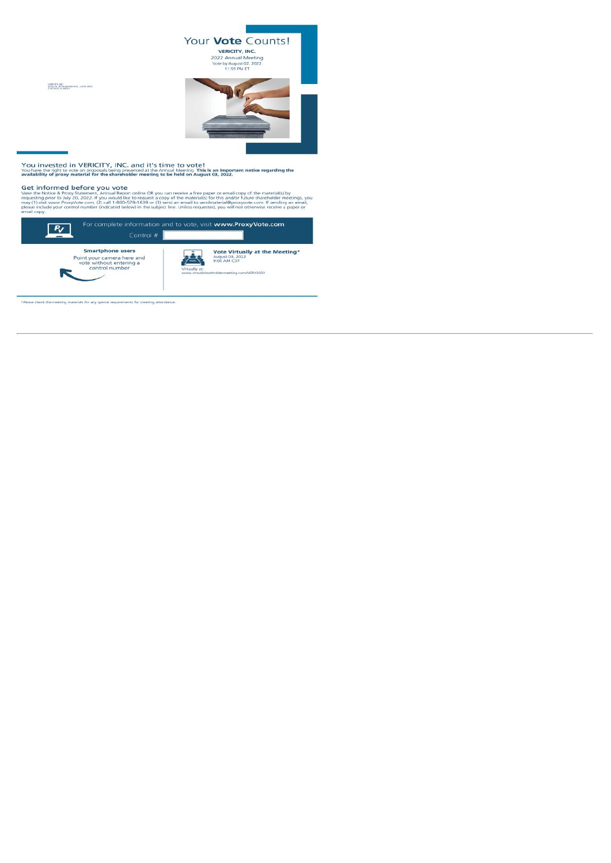

You invested in VERICITY, INC. and it's time to vote!<br>You have the right to vote on proposals being presented at the Annual Meeting. This is an important notice regarding the<br>availability of proxy material for the sharehol

VERCEY, INC.<br>IETRO W. BITH MANNE AVE., SUITE 0805<br>CHICAGO, IL 68621

Get informed before you vote<br>View the Notice & Proxy Statement, Annual Report online OR you can receive a free paper or email copy of the material(s) by<br>requesting pror to July 20, 2022. If you would like to request a copy



\*Please check the meeting materials for any special requirements for meeting attendance